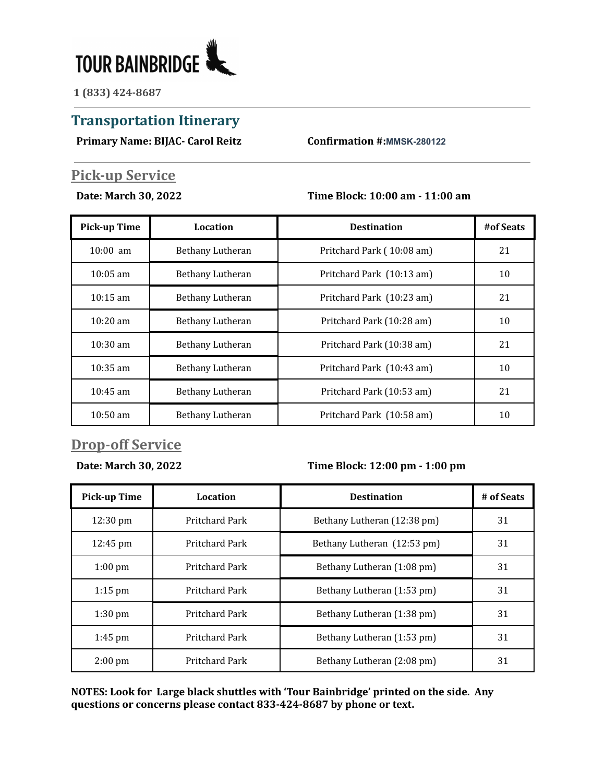

**1 (833) 424-8687**

# **Transportation Itinerary**

**Primary Name: BIJAC- Carol Reitz Confirmation #:MMSK-280122**

## **Pick-up Service**

#### **Date: March 30, 2022 Time Block: 10:00 am - 11:00 am**

| <b>Pick-up Time</b> | Location         | <b>Destination</b>        | #of Seats |
|---------------------|------------------|---------------------------|-----------|
| $10:00$ am          | Bethany Lutheran | Pritchard Park (10:08 am) | 21        |
| $10:05$ am          | Bethany Lutheran | Pritchard Park (10:13 am) | 10        |
| $10:15$ am          | Bethany Lutheran | Pritchard Park (10:23 am) | 21        |
| $10:20$ am          | Bethany Lutheran | Pritchard Park (10:28 am) | 10        |
| $10:30 \text{ am}$  | Bethany Lutheran | Pritchard Park (10:38 am) | 21        |
| $10:35$ am          | Bethany Lutheran | Pritchard Park (10:43 am) | 10        |
| $10:45$ am          | Bethany Lutheran | Pritchard Park (10:53 am) | 21        |
| $10:50 \text{ am}$  | Bethany Lutheran | Pritchard Park (10:58 am) | 10        |

### **Drop-off Service**

**Date: March 30, 2022 Time Block: 12:00 pm - 1:00 pm**

| <b>Pick-up Time</b> | Location       | <b>Destination</b>          | # of Seats |
|---------------------|----------------|-----------------------------|------------|
| 12:30 pm            | Pritchard Park | Bethany Lutheran (12:38 pm) | 31         |
| $12:45 \text{ pm}$  | Pritchard Park | Bethany Lutheran (12:53 pm) | 31         |
| $1:00$ pm           | Pritchard Park | Bethany Lutheran (1:08 pm)  | 31         |
| $1:15$ pm           | Pritchard Park | Bethany Lutheran (1:53 pm)  | 31         |
| $1:30$ pm           | Pritchard Park | Bethany Lutheran (1:38 pm)  | 31         |
| $1:45$ pm           | Pritchard Park | Bethany Lutheran (1:53 pm)  | 31         |
| $2:00 \text{ pm}$   | Pritchard Park | Bethany Lutheran (2:08 pm)  | 31         |

**NOTES: Look for Large black shuttles with 'Tour Bainbridge' printed on the side. Any questions or concerns please contact 833-424-8687 by phone or text.**